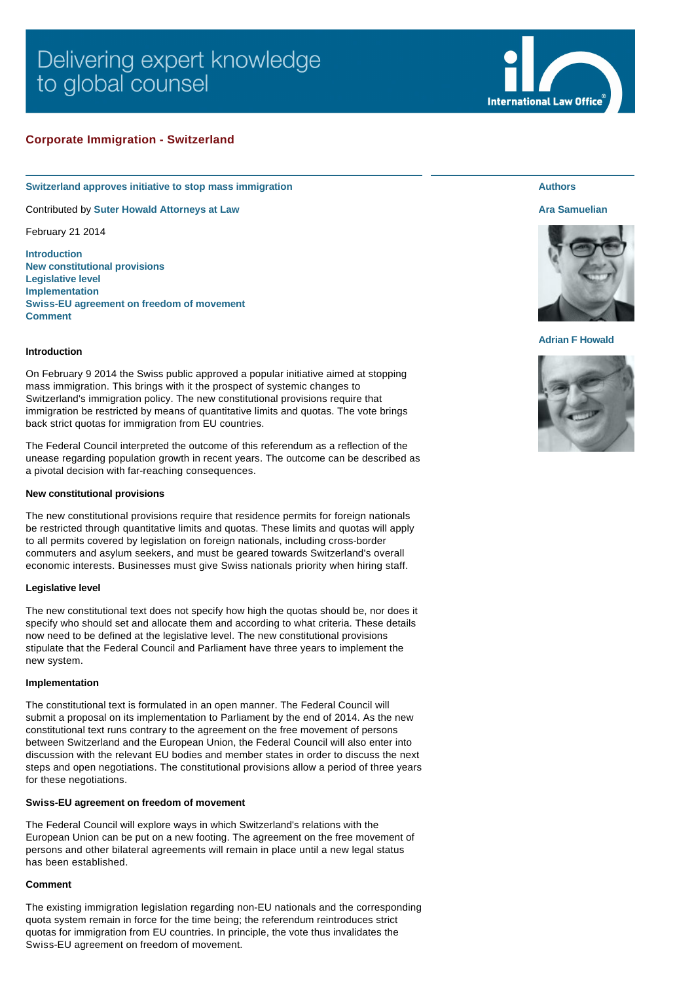# Delivering expert knowledge to global counsel

# **Corporate Immigration - Switzerland**

#### **Switzerland approves initiative to stop mass immigration**

Contributed by **[Suter Howald Attorneys at Law](http://www.internationallawoffice.com/gesr.ashx?l=7KQ96R3)**

February 21 2014

**[Introduction](#page-0-0) [New constitutional provisions](#page-0-1) [Legislative level](#page-0-2) [Implementation](#page-0-3) [Swiss-EU agreement on freedom of movement](#page-0-4) [Comment](#page-0-5)**

## <span id="page-0-0"></span>**Introduction**

On February 9 2014 the Swiss public approved a popular initiative aimed at stopping mass immigration. This brings with it the prospect of systemic changes to Switzerland's immigration policy. The new constitutional provisions require that immigration be restricted by means of quantitative limits and quotas. The vote brings back strict quotas for immigration from EU countries.

The Federal Council interpreted the outcome of this referendum as a reflection of the unease regarding population growth in recent years. The outcome can be described as a pivotal decision with far-reaching consequences.

#### <span id="page-0-1"></span>**New constitutional provisions**

The new constitutional provisions require that residence permits for foreign nationals be restricted through quantitative limits and quotas. These limits and quotas will apply to all permits covered by legislation on foreign nationals, including cross-border commuters and asylum seekers, and must be geared towards Switzerland's overall economic interests. Businesses must give Swiss nationals priority when hiring staff.

#### <span id="page-0-2"></span>**Legislative level**

The new constitutional text does not specify how high the quotas should be, nor does it specify who should set and allocate them and according to what criteria. These details now need to be defined at the legislative level. The new constitutional provisions stipulate that the Federal Council and Parliament have three years to implement the new system.

#### <span id="page-0-3"></span>**Implementation**

The constitutional text is formulated in an open manner. The Federal Council will submit a proposal on its implementation to Parliament by the end of 2014. As the new constitutional text runs contrary to the agreement on the free movement of persons between Switzerland and the European Union, the Federal Council will also enter into discussion with the relevant EU bodies and member states in order to discuss the next steps and open negotiations. The constitutional provisions allow a period of three years for these negotiations.

## <span id="page-0-4"></span>**Swiss-EU agreement on freedom of movement**

The Federal Council will explore ways in which Switzerland's relations with the European Union can be put on a new footing. The agreement on the free movement of persons and other bilateral agreements will remain in place until a new legal status has been established.

#### <span id="page-0-5"></span>**Comment**

The existing immigration legislation regarding non-EU nationals and the corresponding quota system remain in force for the time being; the referendum reintroduces strict quotas for immigration from EU countries. In principle, the vote thus invalidates the Swiss-EU agreement on freedom of movement.

# **Authors**

**International Law Office** 

## **[Ara Samuelian](http://www.internationallawoffice.com/gesr.ashx?l=7KQ96R9)**



## **[Adrian F Howald](http://www.internationallawoffice.com/gesr.ashx?l=7KQ96TK)**